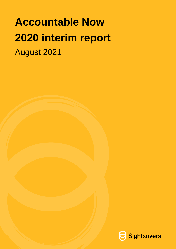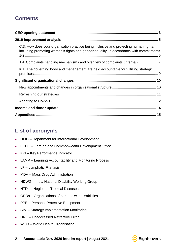### **Contents**

| C.3. How does your organisation practice being inclusive and protecting human rights,<br>including promoting women's rights and gender equality, in accordance with commitments |
|---------------------------------------------------------------------------------------------------------------------------------------------------------------------------------|
| J.4. Complaints handling mechanisms and overview of complaints (internal)                                                                                                       |
| K.1. The governing body and management are held accountable for fulfilling strategic                                                                                            |
|                                                                                                                                                                                 |
|                                                                                                                                                                                 |
|                                                                                                                                                                                 |
|                                                                                                                                                                                 |
|                                                                                                                                                                                 |
|                                                                                                                                                                                 |

### **List of acronyms**

- DFID Department for International Development
- FCDO Foreign and Commonwealth Development Office
- KPI Key Performance Indicator
- LAMP Learning Accountability and Monitoring Process
- LF Lymphatic Filariasis
- MDA Mass Drug Administration
- NDWG India National Disability Working Group
- NTDs Neglected Tropical Diseases
- OPDs Organisations of persons with disabilities
- PPE Personal Protective Equipment
- SIM Strategy Implementation Monitoring
- URE Unaddressed Refractive Error
- WHO World Health Organisation



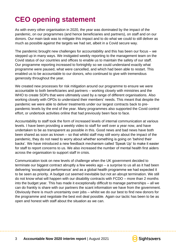# <span id="page-2-0"></span>**CEO opening statement**

As with every other organisation in 2020, the year was dominated by the impact of the pandemic, on our programmes (and hence beneficiaries and partners), on staff and on our donors. Our main task was to mitigate this impact and to do what we could to still deliver as much as possible against the targets we had set, albeit in a Covid secure way.

The pandemic brought new challenges for accountability and this has been our focus – we stepped up in many ways. We instigated weekly reporting to the management team on the Covid status of our countries and offices to enable us to maintain the safety of our staff. Our programme reporting increased to fortnightly so we could understand exactly what programme were paused, what were cancelled, and which had been able to restart. This enabled us to be accountable to our donors, who continued to give with tremendous generosity throughout the year.

We created new processes for risk mitigation around our programme to ensure we were accountable to both beneficiaries and partners – working closely with ministries and the WHO to create SOPs that were ultimately used by a range of different organisations. Also working closely with OPDs to understand their members' needs. This meant that despite the pandemic we were able to deliver treatments under our largest contracts back to prepandemic levels by the end of the year. Many programmes also supported the Covid control effort, or undertook activities online that had previously been face to face.

Accountability to staff took the form of increased levels of internal communication at various levels. I have been providing a weekly video to staff for well over a year now, and have undertaken to be as transparent as possible in this. Good news and bad news have both been shared as soon as known – so that whilst staff may still worry about the impact of the pandemic, they do not need to worry about whether something is going on 'behind their backs'. We have introduced a new feedback mechanism called 'Speak Up' to make it easier for staff to report concerns to us. We also increased the number of mental health first aiders across the organisation to support staff in crisis.

Communication took on new levels of challenge when the UK government decided to terminate our biggest contract abruptly a few weeks ago – a surprise to us all as it had been delivering 'exceptional performance' and as a global health programme we had expected it to be seen as priority. A budget cut seemed inevitable but not an abrupt termination. We still do not know what will happen with our disability contracts with FCDO – more than 2 months into the budget year. This has made it exceptionally difficult to manage partnerships – all we can do frankly is share with our partners the scant information we have from the government. Obviously there is much uncertainty over jobs – whilst we do our best to find new donors for the programme and negotiate the best exit deal possible. Again our tactic has been to be as open and honest with staff about the situation as we can.

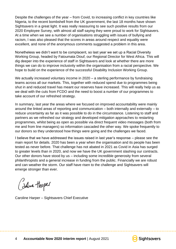Despite the challenges of the year – from Covid, to increasing conflict in key countries like Nigeria, to the recent bombshell from the UK government, the last 18 months have shown Sightsavers in a great light. It was really reassuring to see such positive results from our 2020 Employee Survey, with almost all staff saying they were proud to work for Sightsavers. At a time when we see a number of organisations struggling with issues of bullying and racism, I was also pleased that the scores in areas around respect and equality were excellent, and none of the anonymous comments suggested a problem in this area.

Nonetheless we didn't want to be complacent, so last year we set up a Racial Diversity Working Group, headed by Fatoumata Diouf, our Regional Director for West Africa. This will dig deeper into the experience of staff in Sightsavers and look at whether there are more things we can do to improve inclusivity within the organisation from a racial perspective. We hope to build on the experience of the successful Disability Inclusion Working Group.

We actually increased voluntary income in 2020 – a sterling performance by fundraising teams across all our markets. This, together with reduced spend due to programmes being shut in and reduced travel has meant our reserves have increased. This will really help us as we deal with the cuts from FCDO and the need to boost a number of our programmes to take account of our refreshed strategy.

In summary, last year the areas where we focused on improved accountability were mainly around the linked areas of reporting and communication – both internally and externally – to reduce uncertainty as far as it was possible to do in the circumstance. Listening to staff and partners as we refreshed our strategy and developed mitigation approaches to restarting programmes, whilst being as open as possible via direct frequent video messages (both from me and from line managers) so information cascaded the other way. We spoke frequently to our donors so they understood how things were going and the challenges we faced.

I believe that we have addressed the issues raised in last year's response – please see the main report for details. 2020 has been a year when the organisation and its people has been tested as never before. That challenge has not abated in 2021 as Covid in Asia has surged to greater levels than in 2020, and now we have the UK government slashing our contracts. Our other donors have stood by us – including some incredible generosity from several philanthropists and a general increase in funding from the public. Financially we are robust and can weather the storm. Our staff have risen to the challenge and Sightsavers will emerge stronger than ever.

(Indire Hosper

Caroline Harper – Sightsavers Chief Executive

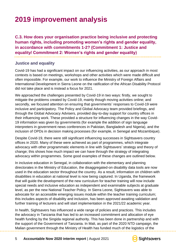# <span id="page-4-0"></span>**2019 improvement analysis**

<span id="page-4-1"></span>**C.3. How does your organisation practice being inclusive and protecting human rights, including promoting women's rights and gender equality, in accordance with commitments 1-2? (Commitment 1: Justice and equality/ Commitment 2: Women's rights and gender equality)**

#### **Justice and equality**

Covid-19 has had a significant impact on our influencing activities, as our approach in most contexts is based on meetings, workshops and other activities which were made difficult and often impossible. For example, our work to influence the Ministry of Foreign Affairs and International Development in Sierra Leone on the ratification of the African Disability Protocol did not take place and is instead a focus for 2021.

We approached the challenges presented by Covid-19 in two ways: firstly, we sought to mitigate the problems created by Covid-19, mainly though moving activities online; and secondly, we focused attention on ensuring that governments' responses to Covid-19 were inclusive and participatory. The Policy and Global Advocacy team provided briefings, and through the Global Advocacy Advisers, provided day-to-day support for country offices in their influencing work. These provided a structure for influencing changes in the way Covid-19 information was given by governments (for example the addition of sign language interpreters in government news conferences in Pakistan, Bangladesh and Nigeria), and the inclusion of OPDs in decision making processes (for example, in Senegal and Mozambique).

Despite Covid-19, there were still significant influencing successes in Sightsavers country offices in 2020. Many of these were achieved as part of programmes, which integrate advocacy with other programmatic elements in line with Sightsavers' strategy and theory of change; this shows how much impact we can have through the strategy of integrating advocacy within programmes. Some good examples of these changes are outlined below.

In inclusive education in Senegal, in collaboration with the elementary and planning directorates in the Ministry of Education, the disaggregated-on disability data tools are now used in the education sector throughout the country. As a result, information on children with disabilities in education at national level is now being captured. In Uganda, the framework that will guide the development of the new curriculum for teacher training will now include special needs and inclusive education as independent and examinable subjects at graduate level, as per the new National Teacher Policy. In Sierra Leone, Sightsavers was able to advocate for an accessible emerging issues module within the teacher training curriculum; this includes aspects of disability and inclusion, has been approved awaiting validation and further training of lecturers and will start implementation in the 2021/22 academic year.

In health, Sightsavers has influenced a wide range of policies and practices. This includes the advocacy in Tanzania that has led to an increased commitment and allocation of eye health funding by the Singida regional authority. This has been done in partnership and with the support of the Government of Tanzania. In Mali, as part of the 2020 NTD campaign, the Malian government through the Ministry of Health has funded much of the logistics of the

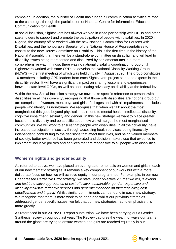campaign. In addition, the Ministry of Health has funded all communication activities related to the campaign, through the participation of National Centre for Information, Education, Communication for Health.

In social inclusion, Sightsavers has always worked in close partnership with OPDs and other stakeholders to support and promote the participation of people with disabilities. In 2020 in Nigeria, the country office worked with the new National Commission for Persons with Disabilities, and the honourable Speaker of the National House of Representatives to constitute the new House Committee on Disability. This is the first time in the history of the National Assembly that there will be a stand-alone committee on disability, and will lead to disability issues being represented and discussed by parliamentarians in a more comprehensive way. In India, there was no national disability coordination group until Sightsavers worked with state OPDs to develop the National Disability Working Group (NDWG) – the first meeting of which was held virtually in August 2020. The group constitutes 10 members including OPD leaders from each Sightsavers project state and experts in the disability sector. It will have a significant impact on sharing lessons and experiences between state-level OPDs, as well as coordinating advocacy on disability at the federal level.

Within the new Social Inclusion strategy we now make specific reference to persons with disabilities 'in all their diversity', recognising that those with disabilities are not one group but are comprised of women, men, boys and girls of all ages and with all impairments. It includes people who identify as non-binary. We recognise that when we talk about the most marginalised this goes beyond physical impairment, to mental health, intellectual disability, cognitive impairment, sexuality and gender. In this new strategy we want to place greater focus on this diversity and be specific about how we will target the most marginalised communities. We will work to ensure that people with disabilities, in all their diversity, have increased participation in society through accessing health services, being financially independent, contributing to the decisions that affect their lives, and being valued members of society; better evidence has been generated and decision makers use that evidence to implement inclusive policies and services that are responsive to all people with disabilities.

#### **Women's rights and gender equality**

As referred to above, we have placed an even greater emphasis on women and girls in each of our new thematic strategies, it remains a key component of our work but with a more deliberate focus on how we will achieve equity in our programmes. For example, in our new Unaddressed Refractive Error strategy, we state under objective 2.1 that we will, '*Develop and test innovative approaches of cost effective, sustainable, gender responsive and disability-inclusive refractive services and generate evidence on their feasibility, cost effectiveness and impact.'* Whilst similar commitments can be found in each new strategy. We recognise that there is more work to be done and whilst our previous strategies addressed gender specific issues, we felt that our new strategies had to emphasise this more greatly.

As referenced in our 2018/2019 report submission, we have been carrying out a Gender Synthesis review throughout last year. The Review captures the wealth of ways our teams around the globe are trying to ensure women and girls are reached equitably in our

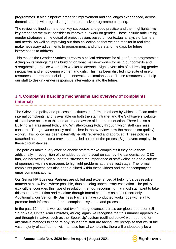programmes. It also pinpoints areas for improvement and challenges experienced, across thematic areas, with regards to gender responsive programme planning.

The review outlined some of our key successes and good practice and then highlights five key areas that we must consider to improve our work on gender. These include articulating gender strategies at the outset of project design, based on contextual analysis of barriers and needs. As well as improving our data collection so that we can monitor in real time, make necessary adjustments to programmes, and understand the gaps for future interventions to address.

This makes the Gender Synthesis Review a critical reference for all our future programming. Acting on its findings means building on what we know works for us in our contexts and strengthening practice where it is weaker to advance Sightsavers aim of addressing gender inequalities and empowering women and girls. This has been distilled into suite of useful resources and reports, including an innovative animation video. These resources can help our staff to design gender responsive interventions into the future.

### <span id="page-6-0"></span>**J.4. Complaints handling mechanisms and overview of complaints (internal)**

The Grievance policy and process constitutes the formal methods by which staff can make internal complaints, and is available on both the staff intranet and the Sightsavers website, all staff have access to this and are made aware of it at their induction. There is also a Bullying & Harassment Policy and Whistleblowing Policy through which staff can raise concerns. The grievance policy makes clear in the overview 'how the mechanism (policy) works'. This policy has been externally legally reviewed and approved. These policies (attached as appendices) provide a detailed outline of the process Sightsavers employs in these circumstances.

The policies make every effort to enable staff to make complaints if they have them, additionally in recognition of the added burden placed on staff by the pandemic, our CEO has, via her weekly video updates, stressed the importance of staff wellbeing and a culture of openness with line managers to highlight problems at the earliest stage. The formal complaints process has also been outlined within these videos and their accompanying email communications.

Our Senior HR Business Partners are skilled and experienced at helping parties resolve matters at a low level where possible, thus avoiding unnecessary escalation. The policy explicitly encourages this type of resolution method, recognising that most staff want to take this route to resolution and escalate through formal channels as a last resort only. Additionally, our Senior HR Business Partners have conducted workshops with staff to promote both informal and formal complaints systems and processes.

In the past 12 months we received two formal grievances across our global operation (UK, South Asia, United Arab Emirates, Africa), again we recognise that this number appears low and through initiatives such as the 'Speak Up' system (outlined below) we hope to offer alternative methods to capture any issues that staff are facing. We recognise that whilst the vast majority of staff do not wish to raise formal complaints, there will undoubtedly be a

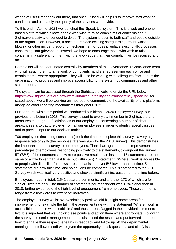wealth of useful feedback out there, that once utilised will help us to improve staff working conditions and ultimately the quality of the services we provide.

To this end in April of 2021 we launched the 'Speak Up' system. This is a web and phonebased platform which allows people who wish to raise complaints or concerns about Sightsavers activity or conduct to do so. The system is open to both staff and people outside of the organisation. However, it does not replace existing safeguarding, fraud, whistleblowing or other incident reporting mechanisms, nor does it replace existing HR processes concerning staff grievances. Instead, we hope to encourage those who wish to raise concerns in a safe environment with the knowledge that their complaint will be received and actioned.

Complaints will be coordinated centrally by members of the Governance & Compliance team who will assign them to a network of complaints handlers representing each office and certain teams, where appropriate. They will also be working with colleagues from across the organisation to progress and improve accessibility to the system by communities and other stakeholders.

The system can be accessed through the Sightsavers website or via the URL below: [https://www.sightsavers.org/how-were-run/accountability-and-transparency/speakup/.](https://www.sightsavers.org/how-were-run/accountability-and-transparency/speakup/) As stated above, we will be working on methods to communicate the availability of this platform, alongside other reporting mechanisms throughout 2021.

Furthermore, within this period we conducted our biennial 2020 Employee Survey, our previous one being in 2018. This survey is sent to every staff member in Sightsavers and measures the degree of satisfaction of our employees concerning a number of different areas, it seeks to capture views from all our employees in order to identify specific issues and to provide input to our decision making.

709 employees (including consultants) took the time to complete this survey - a very high response rate of 99% (the response rate was 95% for the 2018 Survey). This demonstrates the importance of the survey to our employees. There has again been an improvement in the percentages of employees responding positively to the statements, throughout the Survey. 57 (73%) of the statements show more positive results than last time.15 statements are the same or a little lower than last time (but within 5%). 1 statement ("Where I work is accessible to people with disabilities") shows a result that is just over 5% lower than last time. 5 statements are new this time, and so couldn't be compared. This is compared to the 2018 Survey which was itself very positive and showed significant increases from the time before.

Employees made, in total, 2,542 separate comments, and a further 173 of which are for Senior Directors only. The number of comments per respondent was 16% higher than in 2018, further evidence of the high level of engagement from employees. These comments range from a few words to extensive narratives.

The employee survey whilst overwhelmingly positive, did highlight some areas for improvement, for example the fall in the agreement rate with the statement "Where I work is accessible to people with disabilities" and those areas flagged in the individual comments left. It is important that we unpick these points and action them where appropriate. Following the survey, the senior management teams discussed the results and put forward ideas for how to engage their respective teams in feedback and follow up. At the departmental meetings that followed staff were given the opportunity to ask questions and clarify issues

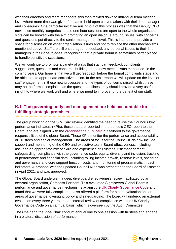with their directors and team managers, this then trickled down to individual team meeting level where more time was given for staff to hold open conversations with their line manager and colleagues. One particular initiative arising out of this process was that the Deputy CEO now holds monthly 'surgeries', these one hour sessions are open to the whole organisation, slots can be booked with the aim promoting an open dialogue around issues, with concerns and questions put directly to the senior management level. This is intended to provide a space for discussion on wider organisation issues and not to replace the other mechanisms mentioned above. Staff are still encouraged to feedback any personal issues to their line managers in their one-to-ones, recognising that a private forum is sometimes better placed to handle sensitive discussions.

We will continue to promote a variety of ways that staff can feedback complaints, suggestions, questions and concerns, building on the new mechanisms mentioned, in the coming years. Our hope is that we will get feedback before the formal complaints stage and be able to take appropriate corrective action. In the next report we will update on the level of staff engagement in these new processes and the types of concerns raised, whilst these may not be formal complaints as the question outlines, they should provide a very useful insight to where we work well and where we need to improve for the benefit of our staff.

#### <span id="page-8-0"></span>**K.1. The governing body and management are held accountable for fulfilling strategic promises**

The group working on the SIM Card review identified the need to revise the Council's key performance indicators (KPIs), those that are reported in the periodic CEO report to the Board, and are aligned with the [organisational SIM card](https://dashboard-public.sightsavers.org/?_gl=1*1st59so*_ga*MjM0MTU3NDg5LjE1NjcwOTM1MjM.*_ga_E6GGNX7XTZ*MTYyMjk3MDk1OC4xMy4xLjE2MjI5NzA5NzIuMA..&_ga=2.257504971.1991983024.1622885887-234157489.1567093523) but tailored to the governance responsibilities of the global Board. These KPIs monitor the performance and accountability of Trustees and senior management. The areas of focus for the Council KPIs now include: support and monitoring of the CEO and executive team; Board effectiveness, including assuring an appropriate mix of skills and experience of Trustees; risk management; safeguarding; compliance with the governance code; equity, diversity and inclusion; tracking of performance and financial data, including rolling income growth, reserve levels, spending, and governance and core support function costs; and monitoring of programmatic impact indicators. A proposal with the updated Council KPIs was presented to the Board of Trustees in April 2021, and was approved.

The Global Board underwent a deep dive board effectiveness review, facilitated by an external organisation, Compass Partners. This evaluated Sightsavers Global Board's performance and governance mechanisms against the [UK Charity Governance Code](https://www.charitygovernancecode.org/pdf_gen?tabs_cookie=0) and found that we were fully compliant. It also offered a platform for a self-evaluation on core areas of governance, oversight, policy and safeguarding. The board will undergo an external evaluation every three years and an internal review of compliance with the UK Charity Governance Code on an annual basis, which is overseen by the Audit Committee.

The Chair and the Vice-Chair conduct annual one to one session with trustees and engage in a bilateral discussion of performance.

<span id="page-8-1"></span>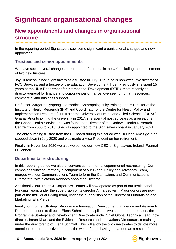# <span id="page-9-0"></span>**Significant organisational changes**

### **New appointments and changes in organisational structure**

In the reporting period Sightsavers saw some significant organisational changes and new appointees.

#### **Trustees and senior appointments**

We have seen several changes to our board of trustees in the UK, including the appointment of two new trustees:

Joy Hutcheon joined Sightsavers as a trustee in July 2019. She is non-executive director of FCO Services, and a trustee of the Education Development Trust. Previously she spent 15 years at the UK's Department for International Development (DFID), most recently as director-general for finance and corporate performance, overseeing human resources, commercial and business support

Professor Margaret Gyapong is a medical Anthropologist by training and is Director of the Institute of Health Research (IHR) and Coordinator of the Centre for Health Policy and Implementation Research (CHPIR) at the University of Health and Allied Sciences (UHAS), Ghana. Prior to joining the university in 2017, she spent almost 25 years as a researcher in the Ghana Health Service and was foundation Director of the Dodowa Health Research Centre from 2005 to 2016. She was appointed to the Sightsavers board in January 2021

The only outgoing trustee from the UK board during this period was Dr Uche Amazigo. She stepped down in July 2020 and was made a Vice-President on her retirement.

Finally, in November 2020 we also welcomed our new CEO of Sightsavers Ireland, Feargal O'Connell.

#### **Departmental restructuring**

In this reporting period we also underwent some internal departmental restructuring. Our campaigns function, formerly a component of our Global Policy and Advocacy Team, merged with our Communications Team to form the Campaigns and Communications Directorate, with Natasha Kennedy appointed Director.

Additionally, our Trusts & Corporates Teams will now operate as part of our Institutional Funding Team, under the supervision of its director Anna Becker. Major donors are now part of the Individual Giving team, under the supervision of the Director of Fundraising and Marketing, Ella Pierce.

Finally, our former Strategic Programme Innovation Development, Evidence and Research Directorate, under its director Elena Schmidt, has spilt into two separate directorates, the Programme Strategy and Development Directorate under Chief Global Technical Lead, now director, Imran Khan, and the Evidence, Research and Innovations Directorate, remaining under the directorship of Elena Schmidt. This will allow the two directorates to devote more attention to their respective spheres, the work of each having expanded as a result of the

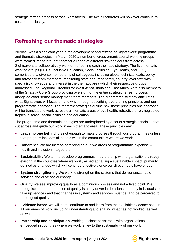<span id="page-10-0"></span>strategic refresh process across Sightsavers. The two directorates will however continue to collaborate closely.

### **Refreshing our thematic strategies**

2020/21 was a significant year in the development and refresh of Sightsavers' programme and thematic strategies. In March 2020 a number of cross-organisational working groups were formed, these brought together a range of different stakeholders from across Sightsavers to collaboratively work on refreshing each thematic strategy. The five thematic working groups (NTDs, Inclusive Education, Social Inclusion, Eye Health, and URE) comprised of a diverse membership of colleagues, including global technical leads, policy and advocacy team members, monitoring staff, and importantly, country level staff with specialist knowledge and interest in the thematic area which their respective groups addressed. The Regional Directors for West Africa, India and East Africa were also members of the Strategy Core Group providing oversight of the entire strategic refresh process alongside other senior management team members. The programme strategy articulates what Sightsavers will focus on and why, through describing overarching principles and our programmatic approach. The thematic strategies outline how these principles and approach will be translated to work across our thematic areas of eye health, refractive error, neglected tropical disease, social inclusion and education.

The programme and thematic strategies are underpinned by a set of strategic principles that cut across and guide our work in each thematic area. These principles are:

- **Leave no one behind** It is not enough to make progress through our programmes unless that progress includes all people within the communities where we work.
- **Coherence** We are increasingly bringing our two areas of programmatic expertise health and inclusion – together.
- **Sustainability** We aim to develop programmes in partnership with organisations already existing in the countries where we work, aimed at having a sustainable impact, primarily defined as changes which will continue effectively once our direct inputs have ended.
- **System strengthening** We work to strengthen the systems that deliver sustainable services and drive social change.
- **Quality** We see improving quality as a continuous process and not a fixed point. We recognise that the perception of quality is a key driver in decisions made by individuals to take up services and that changes in systems and services must be, and be perceived to be, of good quality.
- **Evidence-based** We will both contribute to and learn from the available evidence base in all our areas of work, including understanding and sharing what has not worked, as well as what has.
- **Partnership and participation** Working in close partnership with organisations embedded in countries where we work is key to the sustainability of our work.

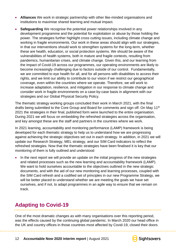- **Alliances** We work in strategic partnership with other like-minded organisations and institutions to maximise shared learning and mutual impact.
- **Safeguarding** We recognise the potential power relationships involved in any development programme and the potential for exploitation or abuse by those holding the power. The strategies further highlight cross cutting issues, including climate change and working in fragile environments. Our work in these areas should align with our strategies, in that our interventions should work to strengthen systems for the long-term, whether these are health, education, or social protection systems. We should be aware of the vulnerabilities of health systems, both in mature and fragile contexts, resulting from pandemics, humanitarian crises, and climate change. Given this, and our learning from the impact of Covid-19 across our programmes, our operating environments are likely to become increasingly challenging due to factors outside of our control. Fundamentally, we are committed to eye health for all, and for all persons with disabilities to access their rights, and we limit our ability to contribute to our vision if we restrict our geographical coverage, even within the countries where we operate. Therefore, we will work to increase adaptation, resilience, and mitigation in our response to climate change and consider work in fragile environments on a case-by-case basis in alignment with our strategies and our Global Physical Security Policy.

The thematic strategy working groups concluded their work in March 2021, with the final drafts being submitted to the Core Group and Board for comments and sign off. On May 11<sup>th</sup> 2021 the strategies in their final, published form were launched to the entire organisation. During 2021 we will focus on embedding the refreshed strategies across the organisation, and key amongst these are the staff and partners in the countries where we work.

In 2021 learning, accountability and monitoring performance (LAMP) framework is being developed for each thematic strategy to help us to understand how we are progressing against achieving the strategic objectives set out in each strategy. In addition, in 2021 we will update our Research Strategy, MEL strategy, and our SIM Card indicators to reflect the refreshed strategies. Now that the thematic strategies have been finalised it is key that our monitoring of them is fully outlined and understood

• In the next report we will provide an update on the initial progress of the new strategies and related processes such as the new learning and accountability framework (LAMP). We want to hold ourselves accountable to the objectives outlined in the new strategic documents, and with the aid of our new monitoring and learning processes, coupled with the SIM Card refresh and a codified set of principles in our new Programme Strategy, we will be better placed to understand whether we are meeting the goals we have set ourselves, and if not, to adapt programmes in an agile way to ensure that we remain on track.

### <span id="page-11-0"></span>**Adapting to Covid-19**

One of the most dramatic changes as with many organisations over this reporting period, was the effects caused by the continuing global pandemic. In March 2020 our head office in the UK and country offices in those countries most affected by Covid-19, closed their doors

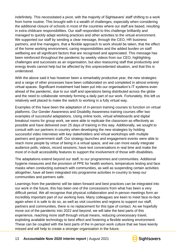indefinitely. This necessitated a pivot, with the majority of Sightsavers' staff shifting to a work from home routine. This brought with it a wealth of challenges, especially when considering the additional closure of schools in most of the countries where our staff are based, resulting in extra childcare responsibilities. Our staff responded to this challenge brilliantly and managed to quickly adapt working practices and other activities to the virtual environment. We supported our staff by sending a clear message, through the CEO, HR business partners, and line managers, that a flexible approach to work should be taken, that the effect of the home working environment, caring responsibilities and the added burden on staff wellbeing are all significant factors that are recognised and appreciated. This message has been reinforced throughout the pandemic by weekly videos from our CEO, highlighting challenges and successes as an organisation, but also reassuring staff that productivity and energy levels cannot help but be affected by this unprecedented situation, and that this is understood.

With the above said it has however been a remarkably productive year, the new strategies and a range of other processes have been collaborated on and completed in almost entirely virtual spaces. Significant investment had been put into our organisation's IT systems even ahead of the pandemic, due to our staff and operations being distributed across the globe and the need to collaborate remotely forming a daily part of our work. Fortunately, this left us relatively well placed to make the switch to working in a fully virtual way.

Examples of this have been the adaptation of in-person training courses to function on virtual platforms. Our Gender Awareness and Disability Awareness training courses offer two examples of successful adaptations. Using online tools, virtual whiteboards and digital breakout rooms for group work, we were able to replicate the classroom as effectively as possible and have delivered over 25 days of training in this way. Additionally, we sought to consult with our partners in-country when developing the new strategies by holding successful video interviews with key stakeholders and virtual workshops with multiple partners and government staff. Our strategy launches and engagement events were able to reach more people by virtue of being in a virtual space, and we can more easily integrate audience polls, videos, record sessions, have text conversations in real time and make the most of in-built accessibility features to support the involvement of those with disabilities.

The adaptations extend beyond our staff, to our programmes and communities. Additional hygiene measures and the provision of PPE for health workers, temperature testing and face masks when conducting outreach with communities, as well as suspending certain activities altogether, have all been integrated into programme activities in-country to keep our communities and partners safe.

Learnings from the pandemic will be taken forward and best practices can be integrated into our work in the future, this has been one of the concessions from what has been a very difficult period. We all recognise that physical collaboration and in-person meetings form an incredibly important part of our working lives. Many colleagues are keen to meet face-to-face again when it is safe to do so, as well as visit countries and regions to support our staff, partners and communities, there is no replacement for this type of contact. As we hopefully move out of the pandemic into 2022 and beyond, we will take the best parts of this experience, reaching more staff through virtual means, reducing unnecessary travel, exploiting available technology to best effect and fostering a flexible working environment. These can be coupled with the best parts of the in-person work culture that we have keenly missed and will help to create a stronger organisation in the future.

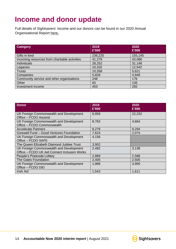## <span id="page-13-0"></span>**Income and donor update**

Full details of Sightsavers' income and our donors can be found in our 2020 Annual Organisational Report [here](https://www.sightsavers.org/wp-content/uploads/2021/07/Sightsavers-Annual-Report-2020.pdf)**.**

| <b>Category</b>                               | 2019<br>£'000 | 2020<br>£'000 |
|-----------------------------------------------|---------------|---------------|
| Gifts in kind                                 | 236,225       | 155,145       |
| Incoming resources from charitable activities | 41,279        | 43,088        |
| Individuals                                   | 28,252        | 31,148        |
| Legacies                                      | 10,332        | 12,542        |
| <b>Trusts</b>                                 | 10,358        | 5,621         |
| Companies                                     | 5,828         | 4,949         |
| Community service and other organisations     | 248           | 176           |
| Other                                         | 65            | 106           |
| Investment income                             | 453           | 292           |

| <b>Donor</b>                                                                            | 2019<br>£'000 | 2020<br>£'000 |
|-----------------------------------------------------------------------------------------|---------------|---------------|
| UK Foreign Commonwealth and Development<br>Office - FCDO Ascend                         | 8,958         | 22,232        |
| UK Foreign Commonwealth and Development<br>Office - FCDO Commonwealth                   | 8,763         | 4,664         |
| <b>Accelerate Partners</b>                                                              | 8,278         | 9,294         |
| Givewell Fund - Good Ventures Foundation                                                | 7,624         | 2,074         |
| UK Foreign Commonwealth and Development<br>Office - FCDO SAFE                           | 4,156         |               |
| The Queen Elizabeth Diamond Jubilee Trust                                               | 3,902         |               |
| UK Foreign Commonwealth and Development<br>Office - FCDO UK Aid Connect Inclusion Works | 2,482         | 3,138         |
| People's Postcode Lottery                                                               | 2,889         | 2,588         |
| <b>The Gates Foundation</b>                                                             | 2,405         | 2,505         |
| UK Foreign Commonwealth and Development<br>Office - FCDO DID                            | 1,968         | 3,900         |
| Irish Aid                                                                               | 1,543         | 1,611         |

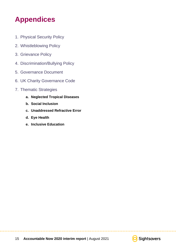# <span id="page-14-0"></span>**Appendices**

- 1. [Physical Security Policy](https://www.sightsavers.org/wp-content/uploads/2021/04/Sightsavers-Global-Physical-Security-Policy.pdf)
- 2. [Whistleblowing Policy](https://www.sightsavers.org/wp-content/uploads/2020/03/Global_Whistleblowing_Policy_and_Procedures_032020.pdf)
- 3. [Grievance Policy](https://www.sightsavers.org/wp-content/uploads/2021/02/Global-grievance-policy-and-procedure_Feb-2021.pdf)
- 4. [Discrimination/Bullying Policy](https://www.sightsavers.org/wp-content/uploads/2021/02/Global-discrimination-bullying-and-harassment-policy-and-procedure_Feb-2021.pdf)
- 5. Governance Document
- 6. [UK Charity Governance Code](https://www.charitygovernancecode.org/pdf_gen?tabs_cookie=0)
- 7. Thematic Strategies
	- **a. Neglected Tropical Diseases**
	- **b. Social Inclusion**
	- **c. Unaddressed Refractive Error**
	- **d. Eye Health**
	- **e. Inclusive Education**